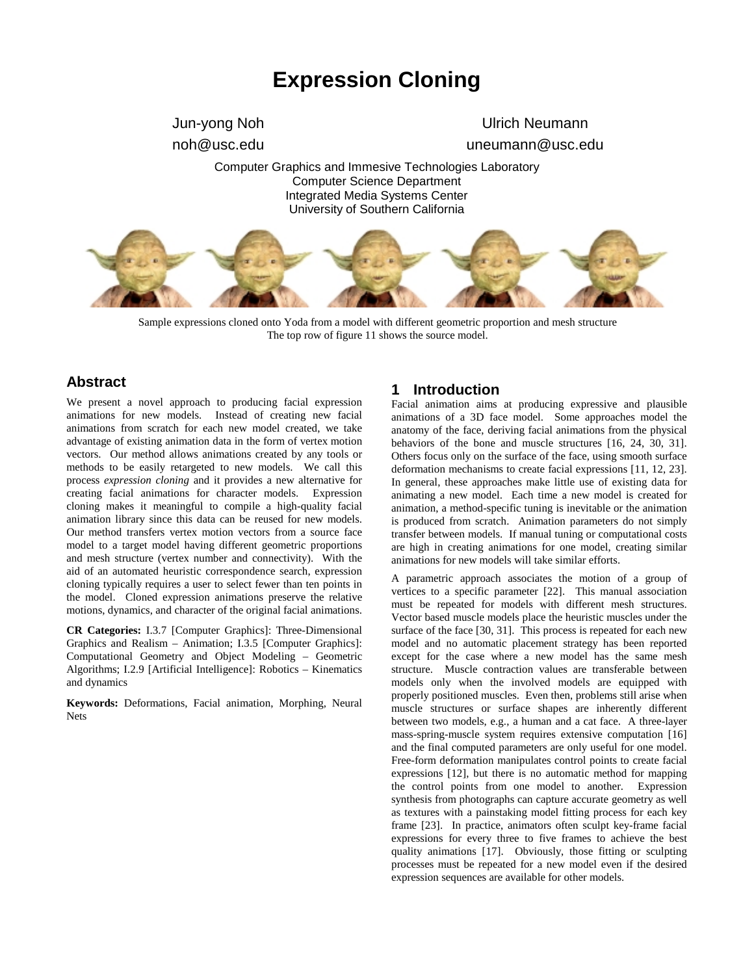# **Expression Cloning**

Jun-yong Noh Ulrich Neumann noh@usc.edu uneumann@usc.edu

Computer Graphics and Immesive Technologies Laboratory Computer Science Department Integrated Media Systems Center University of Southern California



Sample expressions cloned onto Yoda from a model with different geometric proportion and mesh structure The top row of figure 11 shows the source model.

## **Abstract**

We present a novel approach to producing facial expression animations for new models. Instead of creating new facial animations from scratch for each new model created, we take advantage of existing animation data in the form of vertex motion vectors. Our method allows animations created by any tools or methods to be easily retargeted to new models. We call this process *expression cloning* and it provides a new alternative for creating facial animations for character models. Expression cloning makes it meaningful to compile a high-quality facial animation library since this data can be reused for new models. Our method transfers vertex motion vectors from a source face model to a target model having different geometric proportions and mesh structure (vertex number and connectivity). With the aid of an automated heuristic correspondence search, expression cloning typically requires a user to select fewer than ten points in the model. Cloned expression animations preserve the relative motions, dynamics, and character of the original facial animations.

**CR Categories:** I.3.7 [Computer Graphics]: Three-Dimensional Graphics and Realism – Animation; I.3.5 [Computer Graphics]: Computational Geometry and Object Modeling – Geometric Algorithms; I.2.9 [Artificial Intelligence]: Robotics – Kinematics and dynamics

**Keywords:** Deformations, Facial animation, Morphing, Neural Nets

# **1 Introduction**

Facial animation aims at producing expressive and plausible animations of a 3D face model. Some approaches model the anatomy of the face, deriving facial animations from the physical behaviors of the bone and muscle structures [16, 24, 30, 31]. Others focus only on the surface of the face, using smooth surface deformation mechanisms to create facial expressions [11, 12, 23]. In general, these approaches make little use of existing data for animating a new model. Each time a new model is created for animation, a method-specific tuning is inevitable or the animation is produced from scratch. Animation parameters do not simply transfer between models. If manual tuning or computational costs are high in creating animations for one model, creating similar animations for new models will take similar efforts.

A parametric approach associates the motion of a group of vertices to a specific parameter [22]. This manual association must be repeated for models with different mesh structures. Vector based muscle models place the heuristic muscles under the surface of the face [30, 31]. This process is repeated for each new model and no automatic placement strategy has been reported except for the case where a new model has the same mesh structure. Muscle contraction values are transferable between models only when the involved models are equipped with properly positioned muscles. Even then, problems still arise when muscle structures or surface shapes are inherently different between two models, e.g., a human and a cat face. A three-layer mass-spring-muscle system requires extensive computation [16] and the final computed parameters are only useful for one model. Free-form deformation manipulates control points to create facial expressions [12], but there is no automatic method for mapping the control points from one model to another. Expression synthesis from photographs can capture accurate geometry as well as textures with a painstaking model fitting process for each key frame [23]. In practice, animators often sculpt key-frame facial expressions for every three to five frames to achieve the best quality animations [17]. Obviously, those fitting or sculpting processes must be repeated for a new model even if the desired expression sequences are available for other models.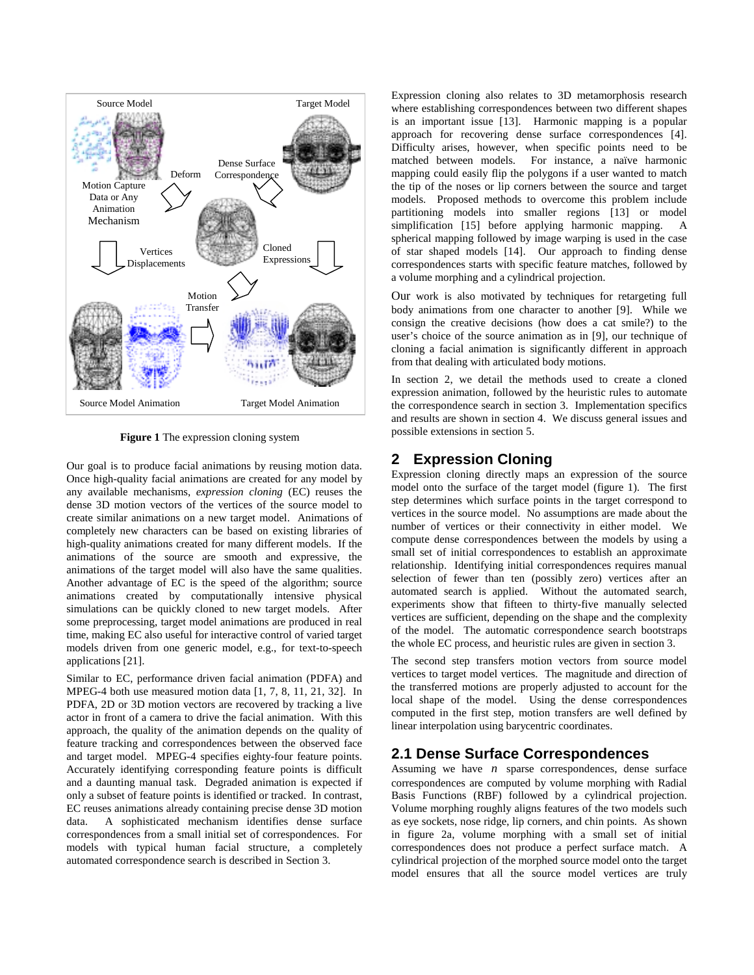

**Figure 1** The expression cloning system

Our goal is to produce facial animations by reusing motion data. Once high-quality facial animations are created for any model by any available mechanisms, *expression cloning* (EC) reuses the dense 3D motion vectors of the vertices of the source model to create similar animations on a new target model. Animations of completely new characters can be based on existing libraries of high-quality animations created for many different models. If the animations of the source are smooth and expressive, the animations of the target model will also have the same qualities. Another advantage of EC is the speed of the algorithm; source animations created by computationally intensive physical simulations can be quickly cloned to new target models. After some preprocessing, target model animations are produced in real time, making EC also useful for interactive control of varied target models driven from one generic model, e.g., for text-to-speech applications [21].

Similar to EC, performance driven facial animation (PDFA) and MPEG-4 both use measured motion data [1, 7, 8, 11, 21, 32]. In PDFA, 2D or 3D motion vectors are recovered by tracking a live actor in front of a camera to drive the facial animation. With this approach, the quality of the animation depends on the quality of feature tracking and correspondences between the observed face and target model. MPEG-4 specifies eighty-four feature points. Accurately identifying corresponding feature points is difficult and a daunting manual task. Degraded animation is expected if only a subset of feature points is identified or tracked. In contrast, EC reuses animations already containing precise dense 3D motion data. A sophisticated mechanism identifies dense surface correspondences from a small initial set of correspondences. For models with typical human facial structure, a completely automated correspondence search is described in Section 3.

Expression cloning also relates to 3D metamorphosis research where establishing correspondences between two different shapes is an important issue [13]. Harmonic mapping is a popular approach for recovering dense surface correspondences [4]. Difficulty arises, however, when specific points need to be matched between models. For instance, a naïve harmonic mapping could easily flip the polygons if a user wanted to match the tip of the noses or lip corners between the source and target models. Proposed methods to overcome this problem include partitioning models into smaller regions [13] or model simplification [15] before applying harmonic mapping. A spherical mapping followed by image warping is used in the case of star shaped models [14]. Our approach to finding dense correspondences starts with specific feature matches, followed by a volume morphing and a cylindrical projection.

Our work is also motivated by techniques for retargeting full body animations from one character to another [9]. While we consign the creative decisions (how does a cat smile?) to the user's choice of the source animation as in [9], our technique of cloning a facial animation is significantly different in approach from that dealing with articulated body motions.

In section 2, we detail the methods used to create a cloned expression animation, followed by the heuristic rules to automate the correspondence search in section 3. Implementation specifics and results are shown in section 4. We discuss general issues and possible extensions in section 5.

# **2 Expression Cloning**

Expression cloning directly maps an expression of the source model onto the surface of the target model (figure 1). The first step determines which surface points in the target correspond to vertices in the source model. No assumptions are made about the number of vertices or their connectivity in either model. We compute dense correspondences between the models by using a small set of initial correspondences to establish an approximate relationship. Identifying initial correspondences requires manual selection of fewer than ten (possibly zero) vertices after an automated search is applied. Without the automated search, experiments show that fifteen to thirty-five manually selected vertices are sufficient, depending on the shape and the complexity of the model. The automatic correspondence search bootstraps the whole EC process, and heuristic rules are given in section 3.

The second step transfers motion vectors from source model vertices to target model vertices. The magnitude and direction of the transferred motions are properly adjusted to account for the local shape of the model. Using the dense correspondences computed in the first step, motion transfers are well defined by linear interpolation using barycentric coordinates.

# **2.1 Dense Surface Correspondences**

Assuming we have *n* sparse correspondences, dense surface correspondences are computed by volume morphing with Radial Basis Functions (RBF) followed by a cylindrical projection. Volume morphing roughly aligns features of the two models such as eye sockets, nose ridge, lip corners, and chin points. As shown in figure 2a, volume morphing with a small set of initial correspondences does not produce a perfect surface match. A cylindrical projection of the morphed source model onto the target model ensures that all the source model vertices are truly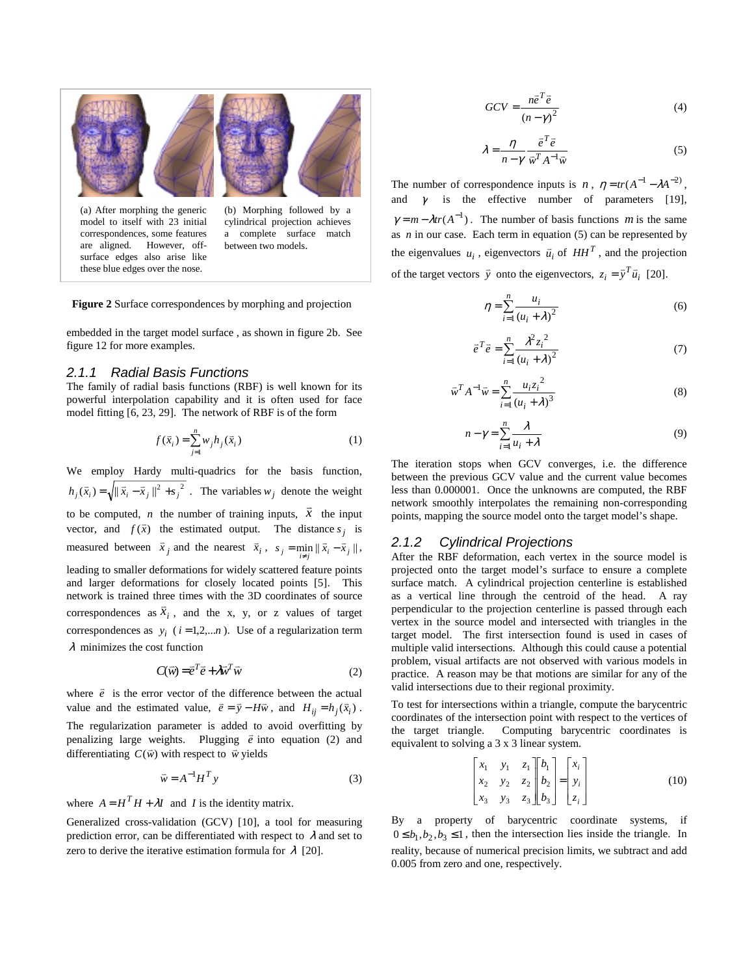

model to itself with 23 initial correspondences, some features are aligned. However, offsurface edges also arise like these blue edges over the nose.

cylindrical projection achieves a complete surface match between two models.

**Figure 2** Surface correspondences by morphing and projection

embedded in the target model surface , as shown in figure 2b. See figure 12 for more examples.

#### *2.1.1 Radial Basis Functions*

The family of radial basis functions (RBF) is well known for its powerful interpolation capability and it is often used for face model fitting [6, 23, 29]. The network of RBF is of the form

$$
f(\vec{x}_i) = \sum_{j=1}^{n} w_j h_j(\vec{x}_i)
$$
 (1)

We employ Hardy multi-quadrics for the basis function,  $h_j(\vec{x}_i) = \sqrt{\|\vec{x}_i - \vec{x}_j\|^2 + s_j^2}$ . The variables  $w_j$  denote the weight to be computed, *n* the number of training inputs,  $\vec{x}$  the input vector, and  $f(\bar{x})$  the estimated output. The distance  $s_j$  is measured between  $\vec{x}_j$  and the nearest  $\vec{x}_i$ ,  $s_j = \min_{i \neq j} ||\vec{x}_i - \vec{x}_j||$ , leading to smaller deformations for widely scattered feature points and larger deformations for closely located points [5]. This network is trained three times with the 3D coordinates of source correspondences as  $\vec{x}_i$ , and the x, y, or z values of target correspondences as  $y_i$  ( $i = 1,2,...n$ ). Use of a regularization term  $\lambda$  minimizes the cost function

$$
C(\vec{w}) = \vec{e}^T \vec{e} + A \vec{w}^T \vec{w}
$$
 (2)

where  $\vec{e}$  is the error vector of the difference between the actual value and the estimated value,  $\vec{e} = \vec{y} - H\vec{w}$ , and  $H_{ij} = h_j(\vec{x}_i)$ . The regularization parameter is added to avoid overfitting by penalizing large weights. Plugging  $\vec{e}$  into equation (2) and differentiating  $C(\vec{w})$  with respect to  $\vec{w}$  yields

$$
\vec{w} = A^{-1}H^T y \tag{3}
$$

where  $A = H^T H + \lambda I$  and *I* is the identity matrix.

Generalized cross-validation (GCV) [10], a tool for measuring prediction error, can be differentiated with respect to  $\lambda$  and set to zero to derive the iterative estimation formula for  $\lambda$  [20].

$$
GCV = \frac{n\bar{e}^T\bar{e}}{(n-\gamma)^2}
$$
 (4)

$$
\lambda = \frac{\eta}{n - \gamma} \frac{\bar{e}^T \bar{e}}{\bar{w}^T A^{-1} \bar{w}} \tag{5}
$$

The number of correspondence inputs is *n*,  $\eta = tr(A^{-1} - \lambda A^{-2})$ , and  $\gamma$  is the effective number of parameters [19],  $\gamma = m - \lambda tr(A^{-1})$ . The number of basis functions *m* is the same as  $n$  in our case. Each term in equation  $(5)$  can be represented by the eigenvalues  $u_i$ , eigenvectors  $\vec{u}_i$  of  $HH^T$ , and the projection of the target vectors  $\vec{y}$  onto the eigenvectors,  $z_i = \vec{y}^T \vec{u}_i$  [20].

$$
\eta = \sum_{i=1}^{n} \frac{u_i}{(u_i + \lambda)^2} \tag{6}
$$

$$
\vec{e}^T \vec{e} = \sum_{i=1}^n \frac{\lambda^2 z_i^2}{(u_i + \lambda)^2}
$$
 (7)

$$
\bar{w}^T A^{-1} \bar{w} = \sum_{i=1}^n \frac{u_i z_i^2}{(u_i + \lambda)^3}
$$
 (8)

$$
n - \gamma = \sum_{i=1}^{n} \frac{\lambda}{u_i + \lambda} \tag{9}
$$

The iteration stops when GCV converges, i.e. the difference between the previous GCV value and the current value becomes less than 0.000001. Once the unknowns are computed, the RBF network smoothly interpolates the remaining non-corresponding points, mapping the source model onto the target model's shape.

#### *2.1.2 Cylindrical Projections*

After the RBF deformation, each vertex in the source model is projected onto the target model's surface to ensure a complete surface match. A cylindrical projection centerline is established as a vertical line through the centroid of the head. A ray perpendicular to the projection centerline is passed through each vertex in the source model and intersected with triangles in the target model. The first intersection found is used in cases of multiple valid intersections. Although this could cause a potential problem, visual artifacts are not observed with various models in practice. A reason may be that motions are similar for any of the valid intersections due to their regional proximity.

To test for intersections within a triangle, compute the barycentric coordinates of the intersection point with respect to the vertices of the target triangle. Computing barycentric coordinates is equivalent to solving a 3 x 3 linear system.

$$
\begin{bmatrix} x_1 & y_1 & z_1 \ x_2 & y_2 & z_2 \ x_3 & y_3 & z_3 \end{bmatrix} \begin{bmatrix} b_1 \ b_2 \ b_3 \end{bmatrix} = \begin{bmatrix} x_i \ y_i \ z_i \end{bmatrix}
$$
 (10)

By a property of barycentric coordinate systems, if  $0 \leq b_1, b_2, b_3 \leq 1$ , then the intersection lies inside the triangle. In reality, because of numerical precision limits, we subtract and add 0.005 from zero and one, respectively.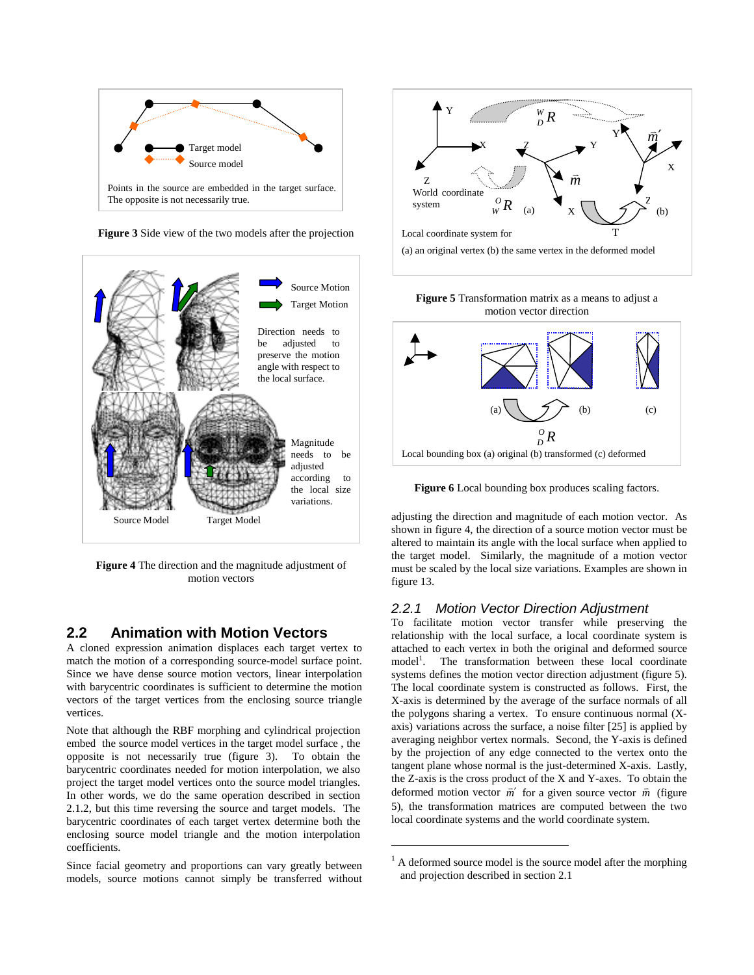

**Figure 3** Side view of the two models after the projection



**Figure 4** The direction and the magnitude adjustment of motion vectors

# **2.2 Animation with Motion Vectors**

A cloned expression animation displaces each target vertex to match the motion of a corresponding source-model surface point. Since we have dense source motion vectors, linear interpolation with barycentric coordinates is sufficient to determine the motion vectors of the target vertices from the enclosing source triangle vertices.

Note that although the RBF morphing and cylindrical projection embed the source model vertices in the target model surface , the opposite is not necessarily true (figure 3). To obtain the barycentric coordinates needed for motion interpolation, we also project the target model vertices onto the source model triangles. In other words, we do the same operation described in section 2.1.2, but this time reversing the source and target models. The barycentric coordinates of each target vertex determine both the enclosing source model triangle and the motion interpolation coefficients.

Since facial geometry and proportions can vary greatly between models, source motions cannot simply be transferred without



**Figure 5** Transformation matrix as a means to adjust a motion vector direction



**Figure 6** Local bounding box produces scaling factors.

adjusting the direction and magnitude of each motion vector. As shown in figure 4, the direction of a source motion vector must be altered to maintain its angle with the local surface when applied to the target model. Similarly, the magnitude of a motion vector must be scaled by the local size variations. Examples are shown in figure 13.

## *2.2.1 Motion Vector Direction Adjustment*

To facilitate motion vector transfer while preserving the relationship with the local surface, a local coordinate system is attached to each vertex in both the original and deformed source model<sup>1</sup>. The transformation between these local coordinate systems defines the motion vector direction adjustment (figure 5). The local coordinate system is constructed as follows. First, the X-axis is determined by the average of the surface normals of all the polygons sharing a vertex. To ensure continuous normal (Xaxis) variations across the surface, a noise filter [25] is applied by averaging neighbor vertex normals. Second, the Y-axis is defined by the projection of any edge connected to the vertex onto the tangent plane whose normal is the just-determined X-axis. Lastly, the Z-axis is the cross product of the X and Y-axes. To obtain the deformed motion vector  $\vec{m}'$  for a given source vector  $\vec{m}$  (figure 5), the transformation matrices are computed between the two local coordinate systems and the world coordinate system.

1

<sup>&</sup>lt;sup>1</sup> A deformed source model is the source model after the morphing and projection described in section 2.1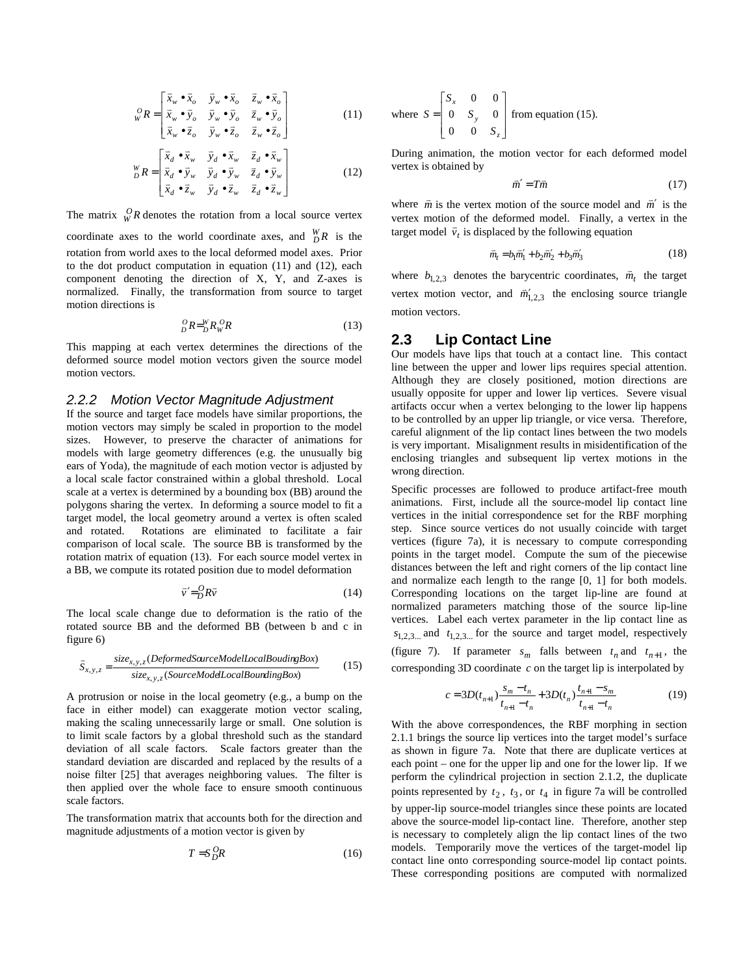$$
{}_{W}^{O}R = \begin{bmatrix} \vec{x}_{w} \bullet \vec{x}_{o} & \vec{y}_{w} \bullet \vec{x}_{o} & \vec{z}_{w} \bullet \vec{x}_{o} \\ \vec{x}_{w} \bullet \vec{y}_{o} & \vec{y}_{w} \bullet \vec{y}_{o} & \vec{z}_{w} \bullet \vec{y}_{o} \\ \vec{x}_{w} \bullet \vec{z}_{o} & \vec{y}_{w} \bullet \vec{z}_{o} & \vec{z}_{w} \bullet \vec{z}_{o} \end{bmatrix}
$$
(11)

$$
{}^{W}_{D}R = \begin{bmatrix} \bar{x}_{d} \bullet \bar{x}_{w} & \bar{y}_{d} \bullet \bar{x}_{w} & \bar{z}_{d} \bullet \bar{x}_{w} \\ \bar{x}_{d} \bullet \bar{y}_{w} & \bar{y}_{d} \bullet \bar{y}_{w} & \bar{z}_{d} \bullet \bar{y}_{w} \\ \bar{x}_{d} \bullet \bar{z}_{w} & \bar{y}_{d} \bullet \bar{z}_{w} & \bar{z}_{d} \bullet \bar{z}_{w} \end{bmatrix}
$$
(12)

The matrix  $\frac{O}{W}R$  denotes the rotation from a local source vertex

coordinate axes to the world coordinate axes, and  $\frac{W}{D}R$  is the rotation from world axes to the local deformed model axes. Prior to the dot product computation in equation (11) and (12), each component denoting the direction of X, Y, and Z-axes is normalized. Finally, the transformation from source to target motion directions is

$$
{}^{O}_{D}R = {}^{W}_{D}R_{W}{}^{O}R
$$
\n
$$
(13)
$$

This mapping at each vertex determines the directions of the deformed source model motion vectors given the source model motion vectors.

#### *2.2.2 Motion Vector Magnitude Adjustment*

If the source and target face models have similar proportions, the motion vectors may simply be scaled in proportion to the model sizes. However, to preserve the character of animations for models with large geometry differences (e.g. the unusually big ears of Yoda), the magnitude of each motion vector is adjusted by a local scale factor constrained within a global threshold. Local scale at a vertex is determined by a bounding box (BB) around the polygons sharing the vertex. In deforming a source model to fit a target model, the local geometry around a vertex is often scaled and rotated. Rotations are eliminated to facilitate a fair comparison of local scale. The source BB is transformed by the rotation matrix of equation (13). For each source model vertex in a BB, we compute its rotated position due to model deformation

$$
\vec{v}' = \mathcal{Q}' R \vec{v} \tag{14}
$$

The local scale change due to deformation is the ratio of the rotated source BB and the deformed BB (between b and c in figure 6)

$$
\overline{S}_{x,y,z} = \frac{size_{x,y,z}(DeformedSourceModelLocalBoudingBox)}{size_{x,y,z}(SourceModelLocalBoudingBox)}
$$
(15)

A protrusion or noise in the local geometry (e.g., a bump on the face in either model) can exaggerate motion vector scaling, making the scaling unnecessarily large or small. One solution is to limit scale factors by a global threshold such as the standard deviation of all scale factors. Scale factors greater than the standard deviation are discarded and replaced by the results of a noise filter [25] that averages neighboring values. The filter is then applied over the whole face to ensure smooth continuous scale factors.

The transformation matrix that accounts both for the direction and magnitude adjustments of a motion vector is given by

$$
T = S_D^{\,O} R \tag{16}
$$

where 
$$
S = \begin{bmatrix} S_x & 0 & 0 \\ 0 & S_y & 0 \\ 0 & 0 & S_z \end{bmatrix}
$$
 from equation (15).

During animation, the motion vector for each deformed model vertex is obtained by

$$
\vec{m}' = T\vec{m} \tag{17}
$$

where  $\vec{m}$  is the vertex motion of the source model and  $\vec{m}'$  is the vertex motion of the deformed model. Finally, a vertex in the target model  $\vec{v}_t$  is displaced by the following equation

$$
\vec{m}_t = b_1 \vec{m}_1' + b_2 \vec{m}_2' + b_3 \vec{m}_3'
$$
 (18)

where  $b_{1,2,3}$  denotes the barycentric coordinates,  $\vec{m}_t$  the target vertex motion vector, and  $\vec{m}'_{1,2,3}$  the enclosing source triangle motion vectors.

### **2.3 Lip Contact Line**

Our models have lips that touch at a contact line. This contact line between the upper and lower lips requires special attention. Although they are closely positioned, motion directions are usually opposite for upper and lower lip vertices. Severe visual artifacts occur when a vertex belonging to the lower lip happens to be controlled by an upper lip triangle, or vice versa. Therefore, careful alignment of the lip contact lines between the two models is very important. Misalignment results in misidentification of the enclosing triangles and subsequent lip vertex motions in the wrong direction.

Specific processes are followed to produce artifact-free mouth animations. First, include all the source-model lip contact line vertices in the initial correspondence set for the RBF morphing step. Since source vertices do not usually coincide with target vertices (figure 7a), it is necessary to compute corresponding points in the target model. Compute the sum of the piecewise distances between the left and right corners of the lip contact line and normalize each length to the range [0, 1] for both models. Corresponding locations on the target lip-line are found at normalized parameters matching those of the source lip-line vertices. Label each vertex parameter in the lip contact line as  $s_{1,2,3}$  and  $t_{1,2,3}$  for the source and target model, respectively (figure 7). If parameter  $s_m$  falls between  $t_n$  and  $t_{n+1}$ , the corresponding 3D coordinate  $c$  on the target lip is interpolated by

$$
c = 3D(t_{n+1})\frac{s_m - t_n}{t_{n+1} - t_n} + 3D(t_n)\frac{t_{n+1} - s_m}{t_{n+1} - t_n}
$$
(19)

With the above correspondences, the RBF morphing in section 2.1.1 brings the source lip vertices into the target model's surface as shown in figure 7a. Note that there are duplicate vertices at each point – one for the upper lip and one for the lower lip. If we perform the cylindrical projection in section 2.1.2, the duplicate points represented by  $t_2$ ,  $t_3$ , or  $t_4$  in figure 7a will be controlled by upper-lip source-model triangles since these points are located above the source-model lip-contact line. Therefore, another step is necessary to completely align the lip contact lines of the two models. Temporarily move the vertices of the target-model lip contact line onto corresponding source-model lip contact points. These corresponding positions are computed with normalized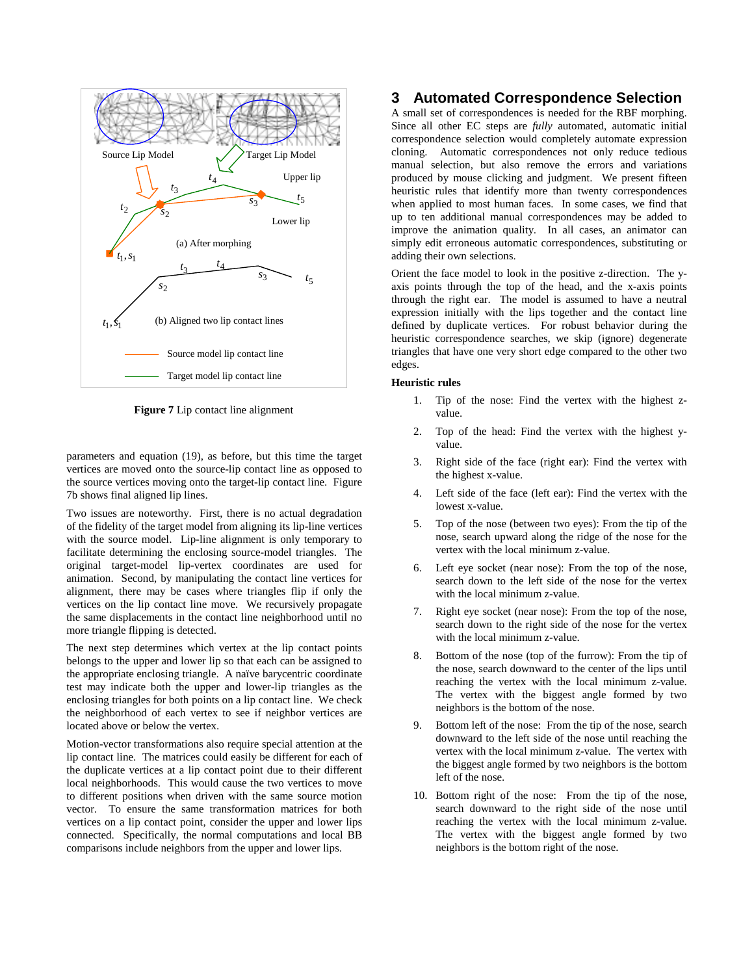

**Figure 7** Lip contact line alignment

parameters and equation (19), as before, but this time the target vertices are moved onto the source-lip contact line as opposed to the source vertices moving onto the target-lip contact line. Figure 7b shows final aligned lip lines.

Two issues are noteworthy. First, there is no actual degradation of the fidelity of the target model from aligning its lip-line vertices with the source model. Lip-line alignment is only temporary to facilitate determining the enclosing source-model triangles. The original target-model lip-vertex coordinates are used for animation. Second, by manipulating the contact line vertices for alignment, there may be cases where triangles flip if only the vertices on the lip contact line move. We recursively propagate the same displacements in the contact line neighborhood until no more triangle flipping is detected.

The next step determines which vertex at the lip contact points belongs to the upper and lower lip so that each can be assigned to the appropriate enclosing triangle. A naïve barycentric coordinate test may indicate both the upper and lower-lip triangles as the enclosing triangles for both points on a lip contact line. We check the neighborhood of each vertex to see if neighbor vertices are located above or below the vertex.

Motion-vector transformations also require special attention at the lip contact line. The matrices could easily be different for each of the duplicate vertices at a lip contact point due to their different local neighborhoods. This would cause the two vertices to move to different positions when driven with the same source motion vector. To ensure the same transformation matrices for both vertices on a lip contact point, consider the upper and lower lips connected. Specifically, the normal computations and local BB comparisons include neighbors from the upper and lower lips.

# **3 Automated Correspondence Selection**

A small set of correspondences is needed for the RBF morphing. Since all other EC steps are *fully* automated, automatic initial correspondence selection would completely automate expression cloning. Automatic correspondences not only reduce tedious manual selection, but also remove the errors and variations produced by mouse clicking and judgment. We present fifteen heuristic rules that identify more than twenty correspondences when applied to most human faces. In some cases, we find that up to ten additional manual correspondences may be added to improve the animation quality. In all cases, an animator can simply edit erroneous automatic correspondences, substituting or adding their own selections.

Orient the face model to look in the positive z-direction. The yaxis points through the top of the head, and the x-axis points through the right ear. The model is assumed to have a neutral expression initially with the lips together and the contact line defined by duplicate vertices. For robust behavior during the heuristic correspondence searches, we skip (ignore) degenerate triangles that have one very short edge compared to the other two edges.

#### **Heuristic rules**

- 1. Tip of the nose: Find the vertex with the highest zvalue.
- 2. Top of the head: Find the vertex with the highest yvalue.
- 3. Right side of the face (right ear): Find the vertex with the highest x-value.
- 4. Left side of the face (left ear): Find the vertex with the lowest x-value.
- 5. Top of the nose (between two eyes): From the tip of the nose, search upward along the ridge of the nose for the vertex with the local minimum z-value.
- 6. Left eye socket (near nose): From the top of the nose, search down to the left side of the nose for the vertex with the local minimum z-value.
- 7. Right eye socket (near nose): From the top of the nose, search down to the right side of the nose for the vertex with the local minimum z-value.
- 8. Bottom of the nose (top of the furrow): From the tip of the nose, search downward to the center of the lips until reaching the vertex with the local minimum z-value. The vertex with the biggest angle formed by two neighbors is the bottom of the nose.
- 9. Bottom left of the nose: From the tip of the nose, search downward to the left side of the nose until reaching the vertex with the local minimum z-value. The vertex with the biggest angle formed by two neighbors is the bottom left of the nose.
- 10. Bottom right of the nose: From the tip of the nose, search downward to the right side of the nose until reaching the vertex with the local minimum z-value. The vertex with the biggest angle formed by two neighbors is the bottom right of the nose.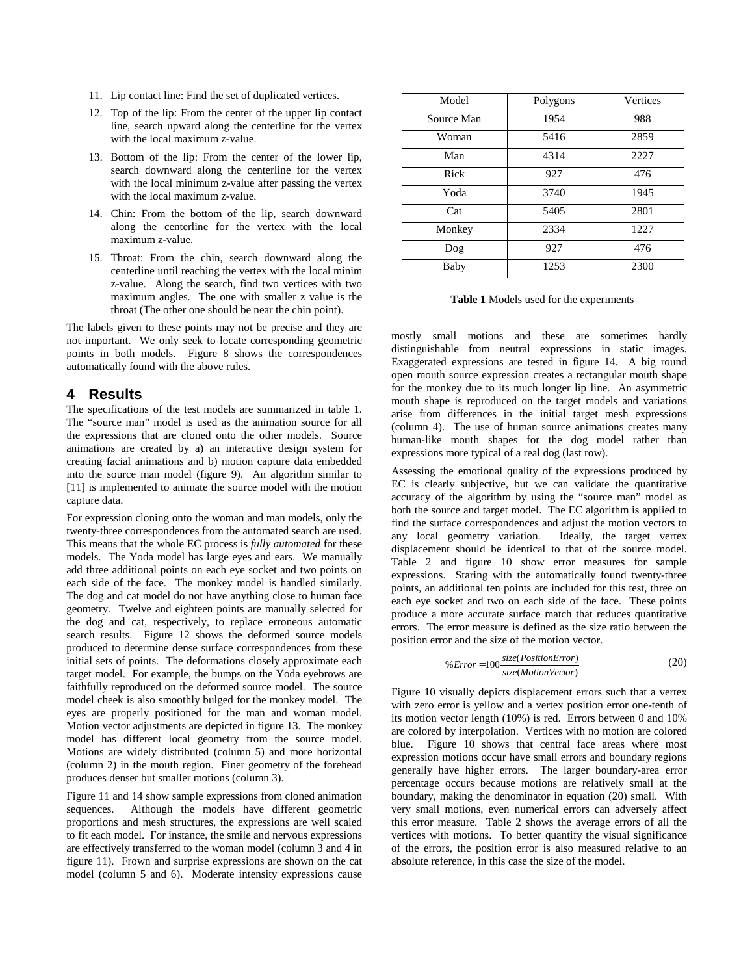- 11. Lip contact line: Find the set of duplicated vertices.
- 12. Top of the lip: From the center of the upper lip contact line, search upward along the centerline for the vertex with the local maximum z-value.
- 13. Bottom of the lip: From the center of the lower lip, search downward along the centerline for the vertex with the local minimum z-value after passing the vertex with the local maximum z-value.
- 14. Chin: From the bottom of the lip, search downward along the centerline for the vertex with the local maximum z-value.
- 15. Throat: From the chin, search downward along the centerline until reaching the vertex with the local minim z-value. Along the search, find two vertices with two maximum angles. The one with smaller z value is the throat (The other one should be near the chin point).

The labels given to these points may not be precise and they are not important. We only seek to locate corresponding geometric points in both models. Figure 8 shows the correspondences automatically found with the above rules.

## **4 Results**

The specifications of the test models are summarized in table 1. The "source man" model is used as the animation source for all the expressions that are cloned onto the other models. Source animations are created by a) an interactive design system for creating facial animations and b) motion capture data embedded into the source man model (figure 9). An algorithm similar to [11] is implemented to animate the source model with the motion capture data.

For expression cloning onto the woman and man models, only the twenty-three correspondences from the automated search are used. This means that the whole EC process is *fully automated* for these models. The Yoda model has large eyes and ears. We manually add three additional points on each eye socket and two points on each side of the face. The monkey model is handled similarly. The dog and cat model do not have anything close to human face geometry. Twelve and eighteen points are manually selected for the dog and cat, respectively, to replace erroneous automatic search results. Figure 12 shows the deformed source models produced to determine dense surface correspondences from these initial sets of points. The deformations closely approximate each target model. For example, the bumps on the Yoda eyebrows are faithfully reproduced on the deformed source model. The source model cheek is also smoothly bulged for the monkey model. The eyes are properly positioned for the man and woman model. Motion vector adjustments are depicted in figure 13. The monkey model has different local geometry from the source model. Motions are widely distributed (column 5) and more horizontal (column 2) in the mouth region. Finer geometry of the forehead produces denser but smaller motions (column 3).

Figure 11 and 14 show sample expressions from cloned animation sequences. Although the models have different geometric proportions and mesh structures, the expressions are well scaled to fit each model. For instance, the smile and nervous expressions are effectively transferred to the woman model (column 3 and 4 in figure 11). Frown and surprise expressions are shown on the cat model (column 5 and 6). Moderate intensity expressions cause

| Model      | Polygons | Vertices |  |  |
|------------|----------|----------|--|--|
| Source Man | 1954     | 988      |  |  |
| Woman      | 5416     | 2859     |  |  |
| Man        | 4314     | 2227     |  |  |
| Rick       | 927      | 476      |  |  |
| Yoda       | 3740     | 1945     |  |  |
| Cat        | 5405     | 2801     |  |  |
| Monkey     | 2334     | 1227     |  |  |
| Dog        | 927      | 476      |  |  |
| Baby       | 1253     | 2300     |  |  |

**Table 1** Models used for the experiments

mostly small motions and these are sometimes hardly distinguishable from neutral expressions in static images. Exaggerated expressions are tested in figure 14. A big round open mouth source expression creates a rectangular mouth shape for the monkey due to its much longer lip line. An asymmetric mouth shape is reproduced on the target models and variations arise from differences in the initial target mesh expressions (column 4). The use of human source animations creates many human-like mouth shapes for the dog model rather than expressions more typical of a real dog (last row).

Assessing the emotional quality of the expressions produced by EC is clearly subjective, but we can validate the quantitative accuracy of the algorithm by using the "source man" model as both the source and target model. The EC algorithm is applied to find the surface correspondences and adjust the motion vectors to any local geometry variation. Ideally, the target vertex displacement should be identical to that of the source model. Table 2 and figure 10 show error measures for sample expressions. Staring with the automatically found twenty-three points, an additional ten points are included for this test, three on each eye socket and two on each side of the face. These points produce a more accurate surface match that reduces quantitative errors. The error measure is defined as the size ratio between the position error and the size of the motion vector.

$$
\% Error = 100 \frac{size(PositionError)}{size(MotionVector)} \tag{20}
$$

Figure 10 visually depicts displacement errors such that a vertex with zero error is yellow and a vertex position error one-tenth of its motion vector length (10%) is red. Errors between 0 and 10% are colored by interpolation. Vertices with no motion are colored blue. Figure 10 shows that central face areas where most expression motions occur have small errors and boundary regions generally have higher errors. The larger boundary-area error percentage occurs because motions are relatively small at the boundary, making the denominator in equation (20) small. With very small motions, even numerical errors can adversely affect this error measure. Table 2 shows the average errors of all the vertices with motions. To better quantify the visual significance of the errors, the position error is also measured relative to an absolute reference, in this case the size of the model.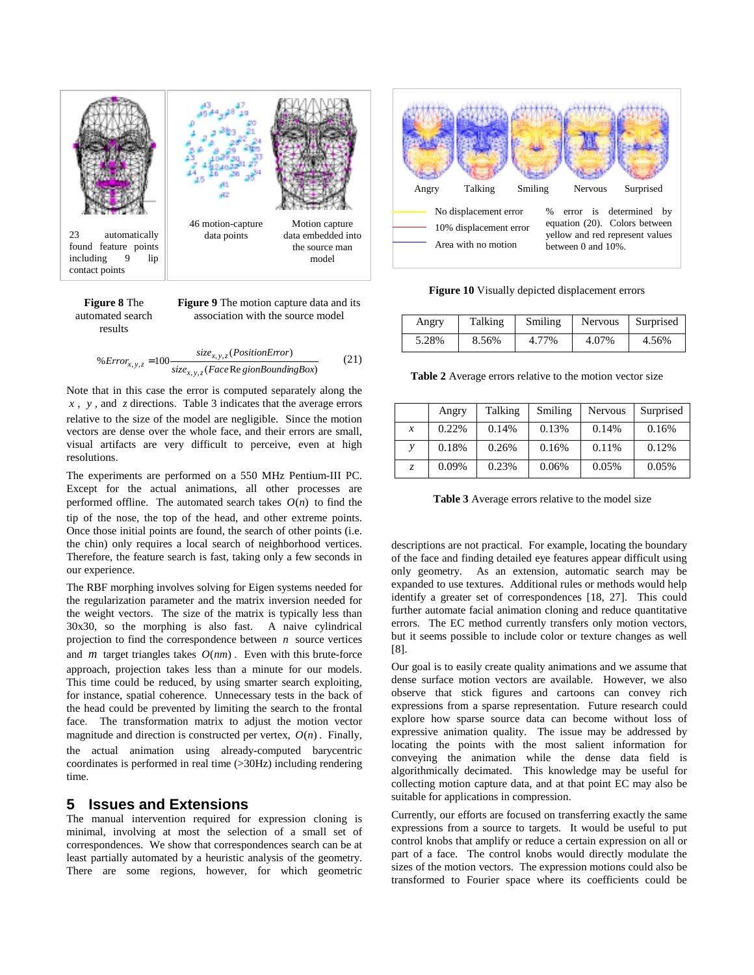

**Figure 8** The automated search

**Figure 9** The motion capture data and its association with the source model

$$
\% Error_{x, y, z} = 100 \frac{size_{x, y, z} (PositionError)}{size_{x, y, z} (FaceRe \text{ }gionBoundingBox)} \tag{21}
$$

Note that in this case the error is computed separately along the *x* , *y* , and *z* directions. Table 3 indicates that the average errors relative to the size of the model are negligible. Since the motion vectors are dense over the whole face, and their errors are small, visual artifacts are very difficult to perceive, even at high resolutions.

The experiments are performed on a 550 MHz Pentium-III PC. Except for the actual animations, all other processes are performed offline. The automated search takes  $O(n)$  to find the tip of the nose, the top of the head, and other extreme points. Once those initial points are found, the search of other points (i.e. the chin) only requires a local search of neighborhood vertices. Therefore, the feature search is fast, taking only a few seconds in our experience.

The RBF morphing involves solving for Eigen systems needed for the regularization parameter and the matrix inversion needed for the weight vectors. The size of the matrix is typically less than 30x30, so the morphing is also fast. A naive cylindrical projection to find the correspondence between *n* source vertices and *m* target triangles takes *O*(*nm*) . Even with this brute-force approach, projection takes less than a minute for our models. This time could be reduced, by using smarter search exploiting, for instance, spatial coherence. Unnecessary tests in the back of the head could be prevented by limiting the search to the frontal face. The transformation matrix to adjust the motion vector magnitude and direction is constructed per vertex,  $O(n)$ . Finally, the actual animation using already-computed barycentric coordinates is performed in real time (>30Hz) including rendering time.

## **5 Issues and Extensions**

The manual intervention required for expression cloning is minimal, involving at most the selection of a small set of correspondences. We show that correspondences search can be at least partially automated by a heuristic analysis of the geometry. There are some regions, however, for which geometric



**Figure 10** Visually depicted displacement errors

| nated search<br>association with the source model<br>results | Angry | Talking | Smiling    | <b>Nervous</b> | Surprised |
|--------------------------------------------------------------|-------|---------|------------|----------------|-----------|
| $\sim$ $\sim$                                                | 5.28% | 8.56%   | 77%<br>4.7 | 4.07%          | .56%      |

**Table 2** Average errors relative to the motion vector size

|               | Angry | Talking | Smiling | <b>Nervous</b> | Surprised |
|---------------|-------|---------|---------|----------------|-----------|
| $\mathcal{X}$ | 0.22% | 0.14%   | 0.13%   | 0.14%          | 0.16%     |
| ν             | 0.18% | 0.26%   | 0.16%   | 0.11%          | 0.12%     |
| Z.            | 0.09% | 0.23%   | 0.06%   | 0.05%          | 0.05%     |

**Table 3** Average errors relative to the model size

descriptions are not practical. For example, locating the boundary of the face and finding detailed eye features appear difficult using only geometry. As an extension, automatic search may be expanded to use textures. Additional rules or methods would help identify a greater set of correspondences [18, 27]. This could further automate facial animation cloning and reduce quantitative errors. The EC method currently transfers only motion vectors, but it seems possible to include color or texture changes as well [8].

Our goal is to easily create quality animations and we assume that dense surface motion vectors are available. However, we also observe that stick figures and cartoons can convey rich expressions from a sparse representation. Future research could explore how sparse source data can become without loss of expressive animation quality. The issue may be addressed by locating the points with the most salient information for conveying the animation while the dense data field is algorithmically decimated. This knowledge may be useful for collecting motion capture data, and at that point EC may also be suitable for applications in compression.

Currently, our efforts are focused on transferring exactly the same expressions from a source to targets. It would be useful to put control knobs that amplify or reduce a certain expression on all or part of a face. The control knobs would directly modulate the sizes of the motion vectors. The expression motions could also be transformed to Fourier space where its coefficients could be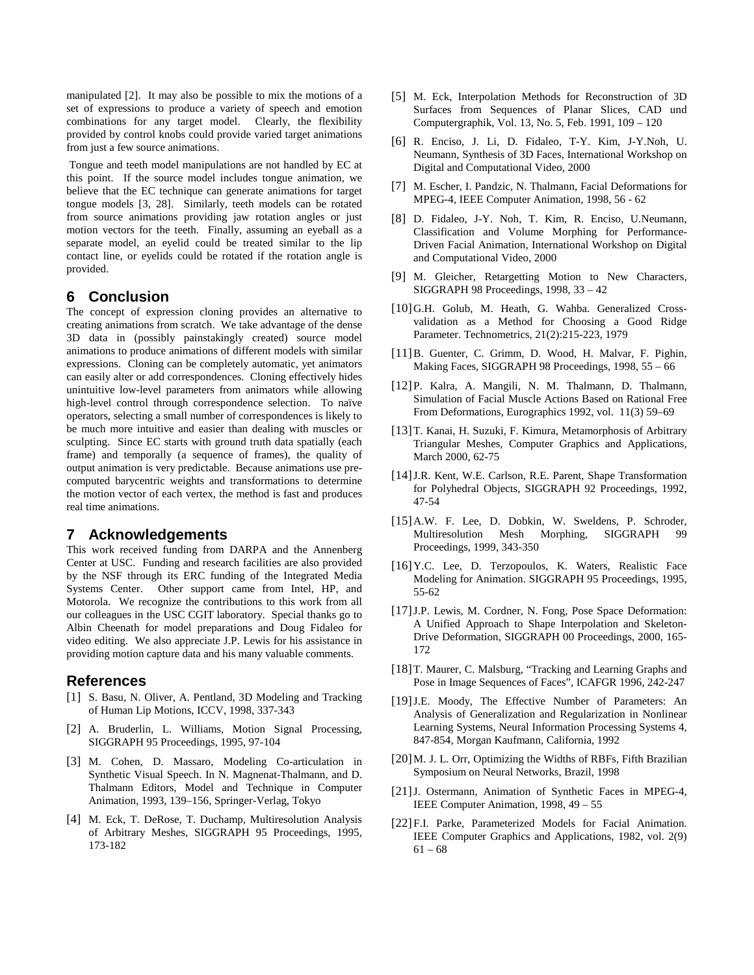manipulated [2]. It may also be possible to mix the motions of a set of expressions to produce a variety of speech and emotion combinations for any target model. Clearly, the flexibility provided by control knobs could provide varied target animations from just a few source animations.

 Tongue and teeth model manipulations are not handled by EC at this point. If the source model includes tongue animation, we believe that the EC technique can generate animations for target tongue models [3, 28]. Similarly, teeth models can be rotated from source animations providing jaw rotation angles or just motion vectors for the teeth. Finally, assuming an eyeball as a separate model, an eyelid could be treated similar to the lip contact line, or eyelids could be rotated if the rotation angle is provided.

## **6 Conclusion**

The concept of expression cloning provides an alternative to creating animations from scratch. We take advantage of the dense 3D data in (possibly painstakingly created) source model animations to produce animations of different models with similar expressions. Cloning can be completely automatic, yet animators can easily alter or add correspondences. Cloning effectively hides unintuitive low-level parameters from animators while allowing high-level control through correspondence selection. To naïve operators, selecting a small number of correspondences is likely to be much more intuitive and easier than dealing with muscles or sculpting. Since EC starts with ground truth data spatially (each frame) and temporally (a sequence of frames), the quality of output animation is very predictable. Because animations use precomputed barycentric weights and transformations to determine the motion vector of each vertex, the method is fast and produces real time animations.

## **7 Acknowledgements**

This work received funding from DARPA and the Annenberg Center at USC. Funding and research facilities are also provided by the NSF through its ERC funding of the Integrated Media Systems Center. Other support came from Intel, HP, and Motorola. We recognize the contributions to this work from all our colleagues in the USC CGIT laboratory. Special thanks go to Albin Cheenath for model preparations and Doug Fidaleo for video editing. We also appreciate J.P. Lewis for his assistance in providing motion capture data and his many valuable comments.

## **References**

- [1] S. Basu, N. Oliver, A. Pentland, 3D Modeling and Tracking of Human Lip Motions, ICCV, 1998, 337-343
- [2] A. Bruderlin, L. Williams, Motion Signal Processing, SIGGRAPH 95 Proceedings, 1995, 97-104
- [3] M. Cohen, D. Massaro, Modeling Co-articulation in Synthetic Visual Speech. In N. Magnenat-Thalmann, and D. Thalmann Editors, Model and Technique in Computer Animation, 1993, 139–156, Springer-Verlag, Tokyo
- [4] M. Eck, T. DeRose, T. Duchamp, Multiresolution Analysis of Arbitrary Meshes, SIGGRAPH 95 Proceedings, 1995, 173-182
- [5] M. Eck, Interpolation Methods for Reconstruction of 3D Surfaces from Sequences of Planar Slices, CAD und Computergraphik, Vol. 13, No. 5, Feb. 1991, 109 – 120
- [6] R. Enciso, J. Li, D. Fidaleo, T-Y. Kim, J-Y.Noh, U. Neumann, Synthesis of 3D Faces, International Workshop on Digital and Computational Video, 2000
- [7] M. Escher, I. Pandzic, N. Thalmann, Facial Deformations for MPEG-4, IEEE Computer Animation, 1998, 56 - 62
- [8] D. Fidaleo, J-Y. Noh, T. Kim, R. Enciso, U.Neumann, Classification and Volume Morphing for Performance-Driven Facial Animation, International Workshop on Digital and Computational Video, 2000
- [9] M. Gleicher, Retargetting Motion to New Characters, SIGGRAPH 98 Proceedings, 1998, 33 – 42
- [10] G.H. Golub, M. Heath, G. Wahba. Generalized Crossvalidation as a Method for Choosing a Good Ridge Parameter. Technometrics, 21(2):215-223, 1979
- [11] B. Guenter, C. Grimm, D. Wood, H. Malvar, F. Pighin, Making Faces, SIGGRAPH 98 Proceedings, 1998, 55 – 66
- [12] P. Kalra, A. Mangili, N. M. Thalmann, D. Thalmann, Simulation of Facial Muscle Actions Based on Rational Free From Deformations, Eurographics 1992, vol. 11(3) 59–69
- [13] T. Kanai, H. Suzuki, F. Kimura, Metamorphosis of Arbitrary Triangular Meshes, Computer Graphics and Applications, March 2000, 62-75
- [14] J.R. Kent, W.E. Carlson, R.E. Parent, Shape Transformation for Polyhedral Objects, SIGGRAPH 92 Proceedings, 1992, 47-54
- [15] A.W. F. Lee, D. Dobkin, W. Sweldens, P. Schroder, Multiresolution Mesh Morphing, SIGGRAPH Proceedings, 1999, 343-350
- [16] Y.C. Lee, D. Terzopoulos, K. Waters, Realistic Face Modeling for Animation. SIGGRAPH 95 Proceedings, 1995, 55-62
- [17] J.P. Lewis, M. Cordner, N. Fong, Pose Space Deformation: A Unified Approach to Shape Interpolation and Skeleton-Drive Deformation, SIGGRAPH 00 Proceedings, 2000, 165- 172
- [18] T. Maurer, C. Malsburg, "Tracking and Learning Graphs and Pose in Image Sequences of Faces", ICAFGR 1996, 242-247
- [19] J.E. Moody, The Effective Number of Parameters: An Analysis of Generalization and Regularization in Nonlinear Learning Systems, Neural Information Processing Systems 4, 847-854, Morgan Kaufmann, California, 1992
- [20] M. J. L. Orr, Optimizing the Widths of RBFs, Fifth Brazilian Symposium on Neural Networks, Brazil, 1998
- [21] J. Ostermann, Animation of Synthetic Faces in MPEG-4, IEEE Computer Animation, 1998, 49 – 55
- [22] F.I. Parke, Parameterized Models for Facial Animation. IEEE Computer Graphics and Applications, 1982, vol. 2(9)  $61 - 68$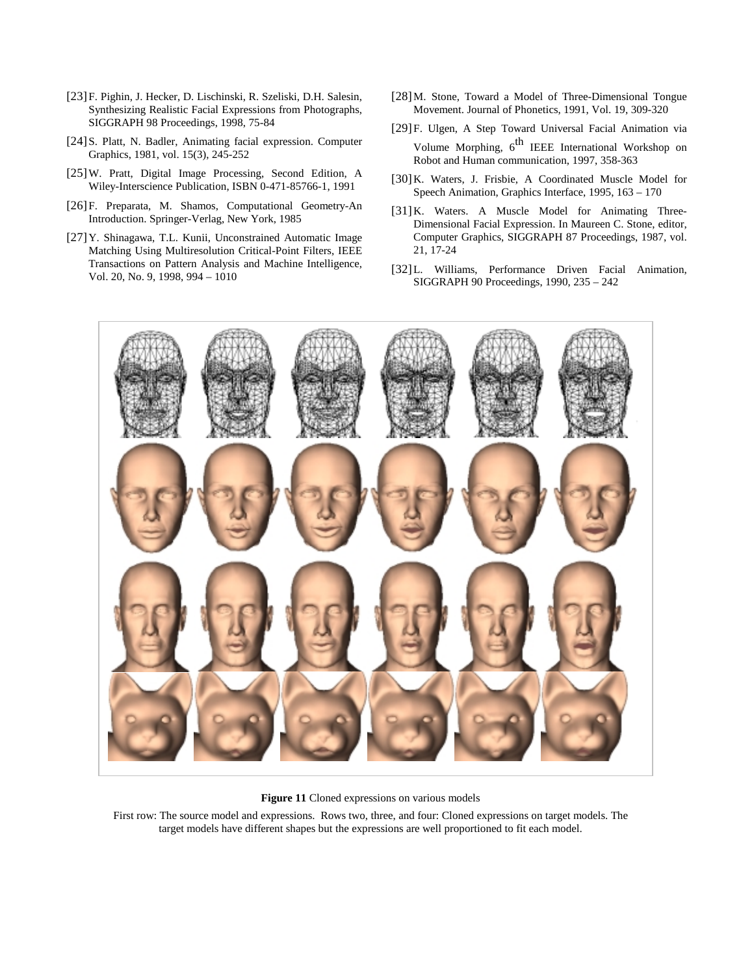- [23] F. Pighin, J. Hecker, D. Lischinski, R. Szeliski, D.H. Salesin, Synthesizing Realistic Facial Expressions from Photographs, SIGGRAPH 98 Proceedings, 1998, 75-84
- [24] S. Platt, N. Badler, Animating facial expression. Computer Graphics, 1981, vol. 15(3), 245-252
- [25] W. Pratt, Digital Image Processing, Second Edition, A Wiley-Interscience Publication, ISBN 0-471-85766-1, 1991
- [26] F. Preparata, M. Shamos, Computational Geometry-An Introduction. Springer-Verlag, New York, 1985
- [27] Y. Shinagawa, T.L. Kunii, Unconstrained Automatic Image Matching Using Multiresolution Critical-Point Filters, IEEE Transactions on Pattern Analysis and Machine Intelligence, Vol. 20, No. 9, 1998, 994 – 1010
- [28] M. Stone, Toward a Model of Three-Dimensional Tongue Movement. Journal of Phonetics, 1991, Vol. 19, 309-320
- [29] F. Ulgen, A Step Toward Universal Facial Animation via Volume Morphing, 6<sup>th</sup> IEEE International Workshop on Robot and Human communication, 1997, 358-363
- [30] K. Waters, J. Frisbie, A Coordinated Muscle Model for Speech Animation, Graphics Interface, 1995, 163 – 170
- [31] K. Waters. A Muscle Model for Animating Three-Dimensional Facial Expression. In Maureen C. Stone, editor, Computer Graphics, SIGGRAPH 87 Proceedings, 1987, vol. 21, 17-24
- [32] L. Williams, Performance Driven Facial Animation, SIGGRAPH 90 Proceedings, 1990, 235 – 242



**Figure 11** Cloned expressions on various models

First row: The source model and expressions. Rows two, three, and four: Cloned expressions on target models. The target models have different shapes but the expressions are well proportioned to fit each model.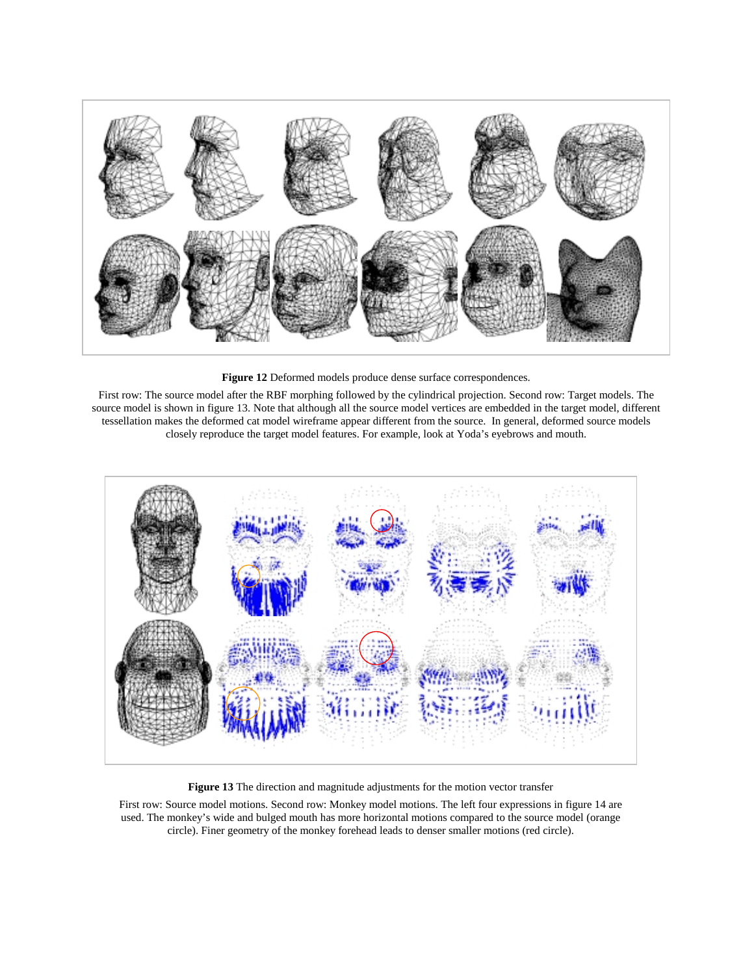

**Figure 12** Deformed models produce dense surface correspondences.

First row: The source model after the RBF morphing followed by the cylindrical projection. Second row: Target models. The source model is shown in figure 13. Note that although all the source model vertices are embedded in the target model, different tessellation makes the deformed cat model wireframe appear different from the source. In general, deformed source models closely reproduce the target model features. For example, look at Yoda's eyebrows and mouth.



**Figure 13** The direction and magnitude adjustments for the motion vector transfer

First row: Source model motions. Second row: Monkey model motions. The left four expressions in figure 14 are used. The monkey's wide and bulged mouth has more horizontal motions compared to the source model (orange circle). Finer geometry of the monkey forehead leads to denser smaller motions (red circle).